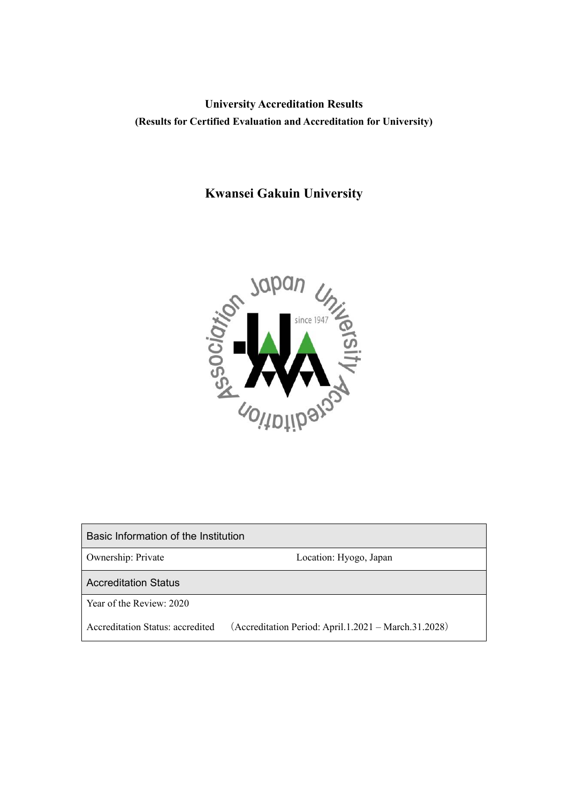# **University Accreditation Results (Results for Certified Evaluation and Accreditation for University)**

# **Kwansei Gakuin University**



| Basic Information of the Institution |                                                      |
|--------------------------------------|------------------------------------------------------|
| Ownership: Private                   | Location: Hyogo, Japan                               |
| <b>Accreditation Status</b>          |                                                      |
| Year of the Review: 2020             |                                                      |
| Accreditation Status: accredited     | (Accreditation Period: April.1.2021 – March.31.2028) |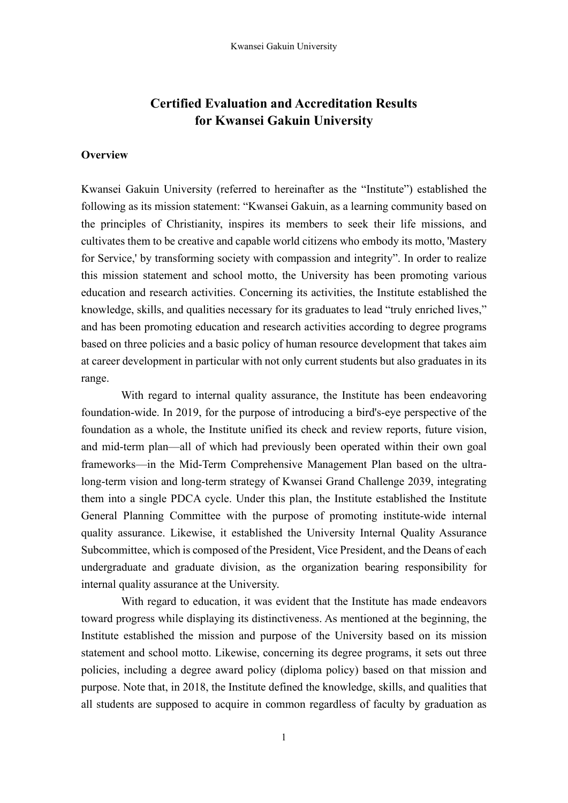# **Certified Evaluation and Accreditation Results for Kwansei Gakuin University**

### **Overview**

Kwansei Gakuin University (referred to hereinafter as the "Institute") established the following as its mission statement: "Kwansei Gakuin, as a learning community based on the principles of Christianity, inspires its members to seek their life missions, and cultivates them to be creative and capable world citizens who embody its motto, 'Mastery for Service,' by transforming society with compassion and integrity". In order to realize this mission statement and school motto, the University has been promoting various education and research activities. Concerning its activities, the Institute established the knowledge, skills, and qualities necessary for its graduates to lead "truly enriched lives," and has been promoting education and research activities according to degree programs based on three policies and a basic policy of human resource development that takes aim at career development in particular with not only current students but also graduates in its range.

With regard to internal quality assurance, the Institute has been endeavoring foundation-wide. In 2019, for the purpose of introducing a bird's-eye perspective of the foundation as a whole, the Institute unified its check and review reports, future vision, and mid-term plan—all of which had previously been operated within their own goal frameworks—in the Mid-Term Comprehensive Management Plan based on the ultralong-term vision and long-term strategy of Kwansei Grand Challenge 2039, integrating them into a single PDCA cycle. Under this plan, the Institute established the Institute General Planning Committee with the purpose of promoting institute-wide internal quality assurance. Likewise, it established the University Internal Quality Assurance Subcommittee, which is composed of the President, Vice President, and the Deans of each undergraduate and graduate division, as the organization bearing responsibility for internal quality assurance at the University.

With regard to education, it was evident that the Institute has made endeavors toward progress while displaying its distinctiveness. As mentioned at the beginning, the Institute established the mission and purpose of the University based on its mission statement and school motto. Likewise, concerning its degree programs, it sets out three policies, including a degree award policy (diploma policy) based on that mission and purpose. Note that, in 2018, the Institute defined the knowledge, skills, and qualities that all students are supposed to acquire in common regardless of faculty by graduation as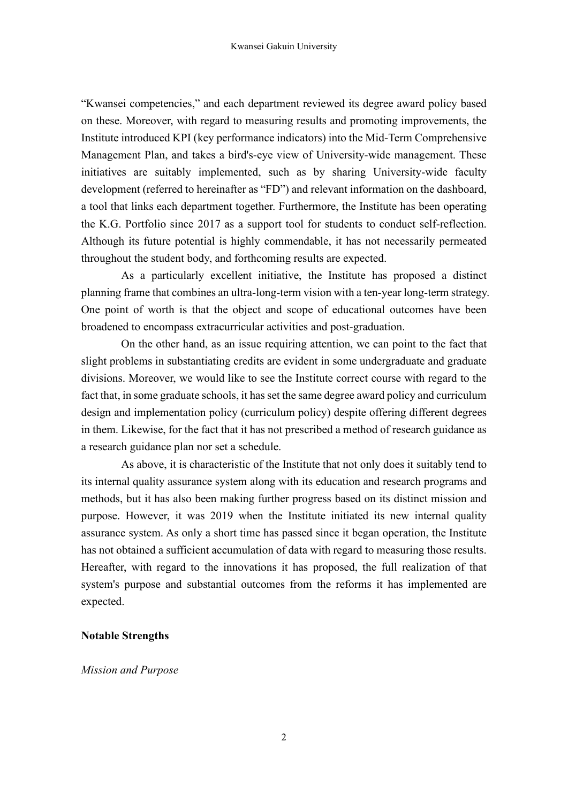"Kwansei competencies," and each department reviewed its degree award policy based on these. Moreover, with regard to measuring results and promoting improvements, the Institute introduced KPI (key performance indicators) into the Mid-Term Comprehensive Management Plan, and takes a bird's-eye view of University-wide management. These initiatives are suitably implemented, such as by sharing University-wide faculty development (referred to hereinafter as "FD") and relevant information on the dashboard, a tool that links each department together. Furthermore, the Institute has been operating the K.G. Portfolio since 2017 as a support tool for students to conduct self-reflection. Although its future potential is highly commendable, it has not necessarily permeated throughout the student body, and forthcoming results are expected.

As a particularly excellent initiative, the Institute has proposed a distinct planning frame that combines an ultra-long-term vision with a ten-year long-term strategy. One point of worth is that the object and scope of educational outcomes have been broadened to encompass extracurricular activities and post-graduation.

On the other hand, as an issue requiring attention, we can point to the fact that slight problems in substantiating credits are evident in some undergraduate and graduate divisions. Moreover, we would like to see the Institute correct course with regard to the fact that, in some graduate schools, it has set the same degree award policy and curriculum design and implementation policy (curriculum policy) despite offering different degrees in them. Likewise, for the fact that it has not prescribed a method of research guidance as a research guidance plan nor set a schedule.

As above, it is characteristic of the Institute that not only does it suitably tend to its internal quality assurance system along with its education and research programs and methods, but it has also been making further progress based on its distinct mission and purpose. However, it was 2019 when the Institute initiated its new internal quality assurance system. As only a short time has passed since it began operation, the Institute has not obtained a sufficient accumulation of data with regard to measuring those results. Hereafter, with regard to the innovations it has proposed, the full realization of that system's purpose and substantial outcomes from the reforms it has implemented are expected.

#### **Notable Strengths**

#### *Mission and Purpose*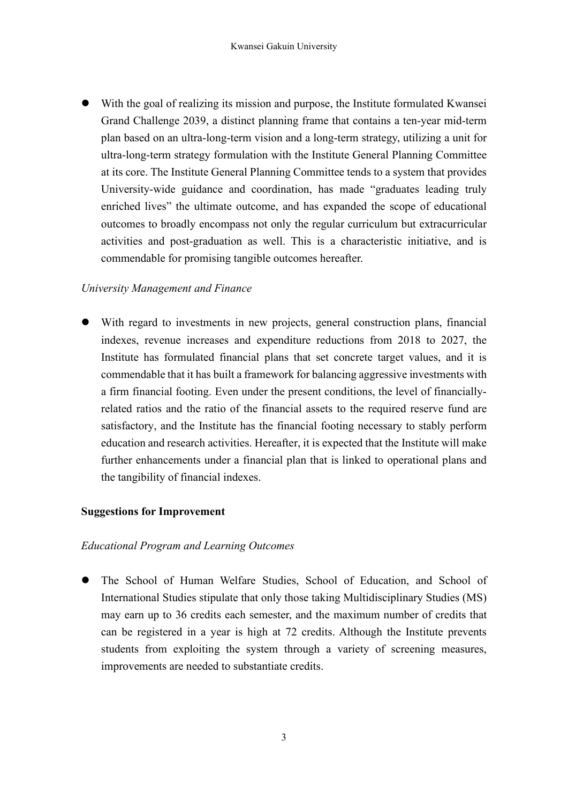With the goal of realizing its mission and purpose, the Institute formulated Kwansei Grand Challenge 2039, a distinct planning frame that contains a ten-year mid-term plan based on an ultra-long-term vision and a long-term strategy, utilizing a unit for ultra-long-term strategy formulation with the Institute General Planning Committee at its core. The Institute General Planning Committee tends to a system that provides University-wide guidance and coordination, has made "graduates leading truly enriched lives" the ultimate outcome, and has expanded the scope of educational outcomes to broadly encompass not only the regular curriculum but extracurricular activities and post-graduation as well. This is a characteristic initiative, and is commendable for promising tangible outcomes hereafter.

### *University Management and Finance*

 With regard to investments in new projects, general construction plans, financial indexes, revenue increases and expenditure reductions from 2018 to 2027, the Institute has formulated financial plans that set concrete target values, and it is commendable that it has built a framework for balancing aggressive investments with a firm financial footing. Even under the present conditions, the level of financiallyrelated ratios and the ratio of the financial assets to the required reserve fund are satisfactory, and the Institute has the financial footing necessary to stably perform education and research activities. Hereafter, it is expected that the Institute will make further enhancements under a financial plan that is linked to operational plans and the tangibility of financial indexes.

#### **Suggestions for Improvement**

#### *Educational Program and Learning Outcomes*

 The School of Human Welfare Studies, School of Education, and School of International Studies stipulate that only those taking Multidisciplinary Studies (MS) may earn up to 36 credits each semester, and the maximum number of credits that can be registered in a year is high at 72 credits. Although the Institute prevents students from exploiting the system through a variety of screening measures, improvements are needed to substantiate credits.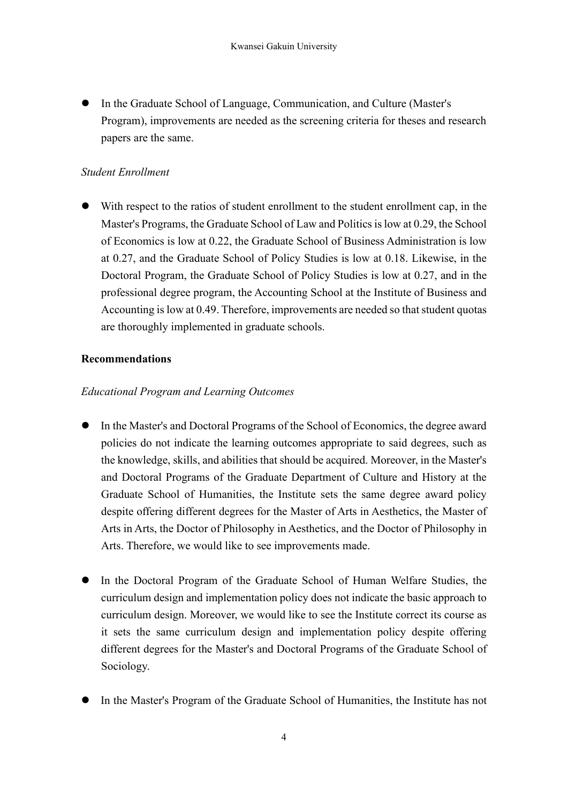In the Graduate School of Language, Communication, and Culture (Master's Program), improvements are needed as the screening criteria for theses and research papers are the same.

### *Student Enrollment*

 With respect to the ratios of student enrollment to the student enrollment cap, in the Master's Programs, the Graduate School of Law and Politics is low at 0.29, the School of Economics is low at 0.22, the Graduate School of Business Administration is low at 0.27, and the Graduate School of Policy Studies is low at 0.18. Likewise, in the Doctoral Program, the Graduate School of Policy Studies is low at 0.27, and in the professional degree program, the Accounting School at the Institute of Business and Accounting is low at 0.49. Therefore, improvements are needed so that student quotas are thoroughly implemented in graduate schools.

## **Recommendations**

### *Educational Program and Learning Outcomes*

- In the Master's and Doctoral Programs of the School of Economics, the degree award policies do not indicate the learning outcomes appropriate to said degrees, such as the knowledge, skills, and abilities that should be acquired. Moreover, in the Master's and Doctoral Programs of the Graduate Department of Culture and History at the Graduate School of Humanities, the Institute sets the same degree award policy despite offering different degrees for the Master of Arts in Aesthetics, the Master of Arts in Arts, the Doctor of Philosophy in Aesthetics, and the Doctor of Philosophy in Arts. Therefore, we would like to see improvements made.
- In the Doctoral Program of the Graduate School of Human Welfare Studies, the curriculum design and implementation policy does not indicate the basic approach to curriculum design. Moreover, we would like to see the Institute correct its course as it sets the same curriculum design and implementation policy despite offering different degrees for the Master's and Doctoral Programs of the Graduate School of Sociology.
- In the Master's Program of the Graduate School of Humanities, the Institute has not